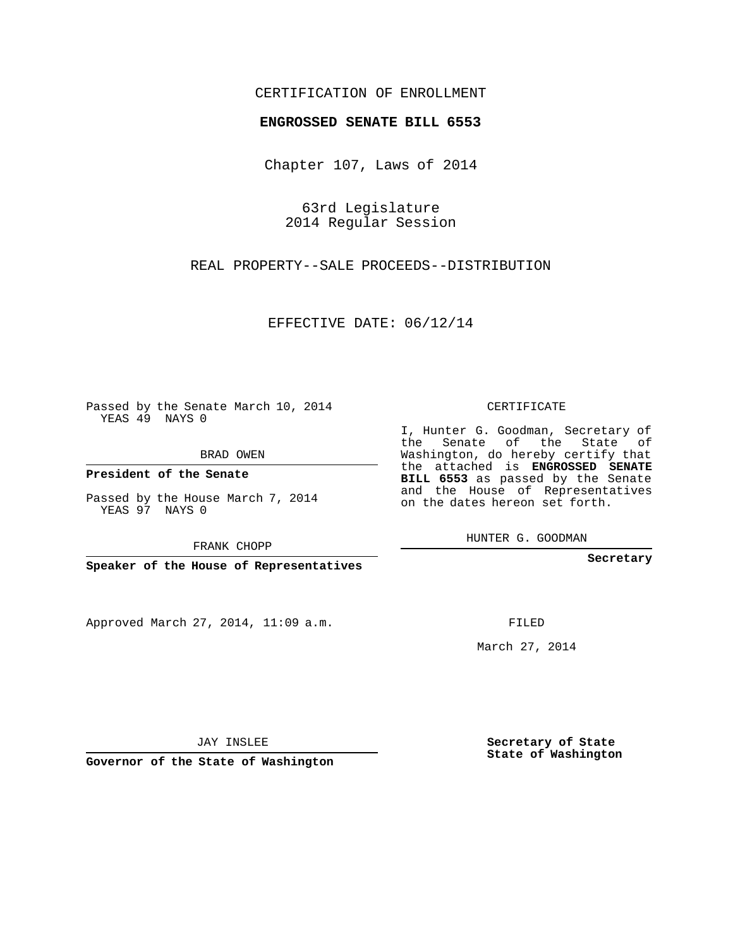## CERTIFICATION OF ENROLLMENT

## **ENGROSSED SENATE BILL 6553**

Chapter 107, Laws of 2014

63rd Legislature 2014 Regular Session

REAL PROPERTY--SALE PROCEEDS--DISTRIBUTION

EFFECTIVE DATE: 06/12/14

Passed by the Senate March 10, 2014 YEAS 49 NAYS 0

BRAD OWEN

**President of the Senate**

Passed by the House March 7, 2014 YEAS 97 NAYS 0

FRANK CHOPP

**Speaker of the House of Representatives**

Approved March 27, 2014, 11:09 a.m.

CERTIFICATE

I, Hunter G. Goodman, Secretary of the Senate of the State of Washington, do hereby certify that the attached is **ENGROSSED SENATE BILL 6553** as passed by the Senate and the House of Representatives on the dates hereon set forth.

HUNTER G. GOODMAN

**Secretary**

FILED

March 27, 2014

**Secretary of State State of Washington**

JAY INSLEE

**Governor of the State of Washington**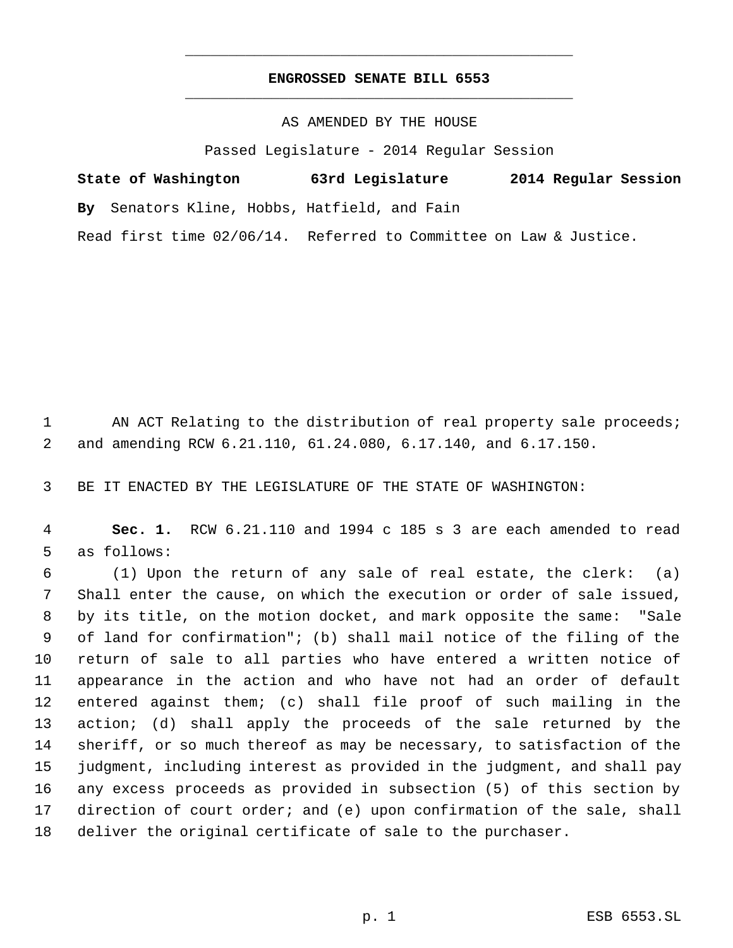## **ENGROSSED SENATE BILL 6553** \_\_\_\_\_\_\_\_\_\_\_\_\_\_\_\_\_\_\_\_\_\_\_\_\_\_\_\_\_\_\_\_\_\_\_\_\_\_\_\_\_\_\_\_\_

\_\_\_\_\_\_\_\_\_\_\_\_\_\_\_\_\_\_\_\_\_\_\_\_\_\_\_\_\_\_\_\_\_\_\_\_\_\_\_\_\_\_\_\_\_

AS AMENDED BY THE HOUSE

Passed Legislature - 2014 Regular Session

| State of Washington                          | 63rd Legislature                                                  | 2014 Regular Session |
|----------------------------------------------|-------------------------------------------------------------------|----------------------|
| By Senators Kline, Hobbs, Hatfield, and Fain |                                                                   |                      |
|                                              | Read first time 02/06/14. Referred to Committee on Law & Justice. |                      |

1 AN ACT Relating to the distribution of real property sale proceeds; and amending RCW 6.21.110, 61.24.080, 6.17.140, and 6.17.150.

BE IT ENACTED BY THE LEGISLATURE OF THE STATE OF WASHINGTON:

 **Sec. 1.** RCW 6.21.110 and 1994 c 185 s 3 are each amended to read as follows:

 (1) Upon the return of any sale of real estate, the clerk: (a) Shall enter the cause, on which the execution or order of sale issued, by its title, on the motion docket, and mark opposite the same: "Sale of land for confirmation"; (b) shall mail notice of the filing of the return of sale to all parties who have entered a written notice of appearance in the action and who have not had an order of default entered against them; (c) shall file proof of such mailing in the action; (d) shall apply the proceeds of the sale returned by the sheriff, or so much thereof as may be necessary, to satisfaction of the judgment, including interest as provided in the judgment, and shall pay any excess proceeds as provided in subsection (5) of this section by direction of court order; and (e) upon confirmation of the sale, shall deliver the original certificate of sale to the purchaser.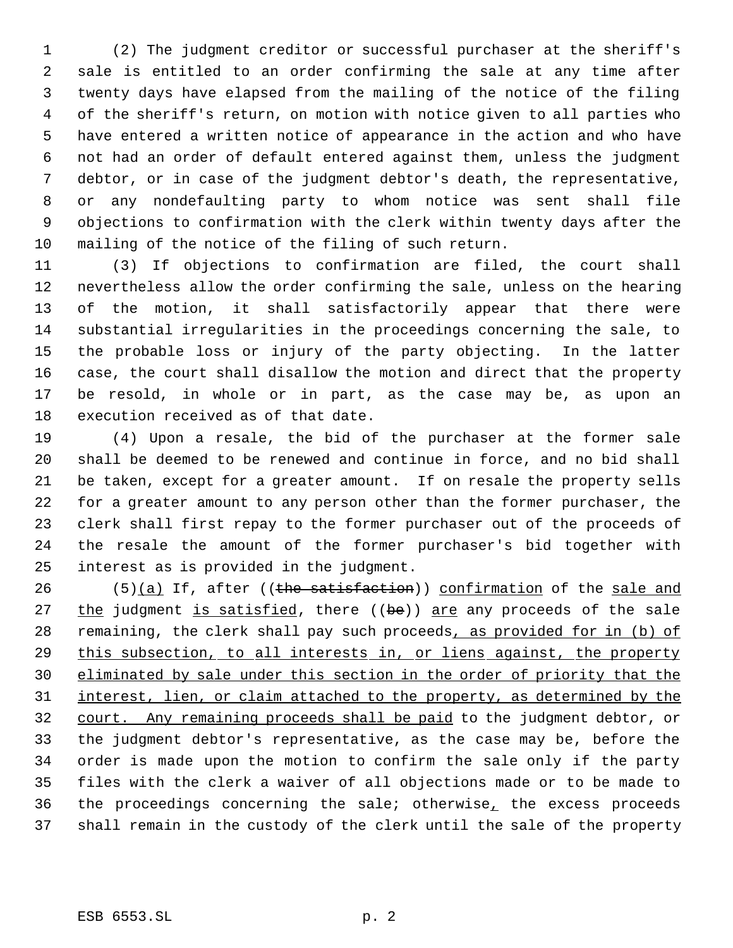(2) The judgment creditor or successful purchaser at the sheriff's sale is entitled to an order confirming the sale at any time after twenty days have elapsed from the mailing of the notice of the filing of the sheriff's return, on motion with notice given to all parties who have entered a written notice of appearance in the action and who have not had an order of default entered against them, unless the judgment debtor, or in case of the judgment debtor's death, the representative, or any nondefaulting party to whom notice was sent shall file objections to confirmation with the clerk within twenty days after the mailing of the notice of the filing of such return.

 (3) If objections to confirmation are filed, the court shall nevertheless allow the order confirming the sale, unless on the hearing of the motion, it shall satisfactorily appear that there were substantial irregularities in the proceedings concerning the sale, to the probable loss or injury of the party objecting. In the latter case, the court shall disallow the motion and direct that the property be resold, in whole or in part, as the case may be, as upon an execution received as of that date.

 (4) Upon a resale, the bid of the purchaser at the former sale shall be deemed to be renewed and continue in force, and no bid shall be taken, except for a greater amount. If on resale the property sells for a greater amount to any person other than the former purchaser, the clerk shall first repay to the former purchaser out of the proceeds of the resale the amount of the former purchaser's bid together with interest as is provided in the judgment.

 $(5)(a)$  If, after ((the satisfaction)) confirmation of the sale and 27 the judgment is satisfied, there ((be)) are any proceeds of the sale 28 remaining, the clerk shall pay such proceeds, as provided for in (b) of 29 this subsection, to all interests in, or liens against, the property eliminated by sale under this section in the order of priority that the interest, lien, or claim attached to the property, as determined by the court. Any remaining proceeds shall be paid to the judgment debtor, or the judgment debtor's representative, as the case may be, before the order is made upon the motion to confirm the sale only if the party files with the clerk a waiver of all objections made or to be made to the proceedings concerning the sale; otherwise, the excess proceeds shall remain in the custody of the clerk until the sale of the property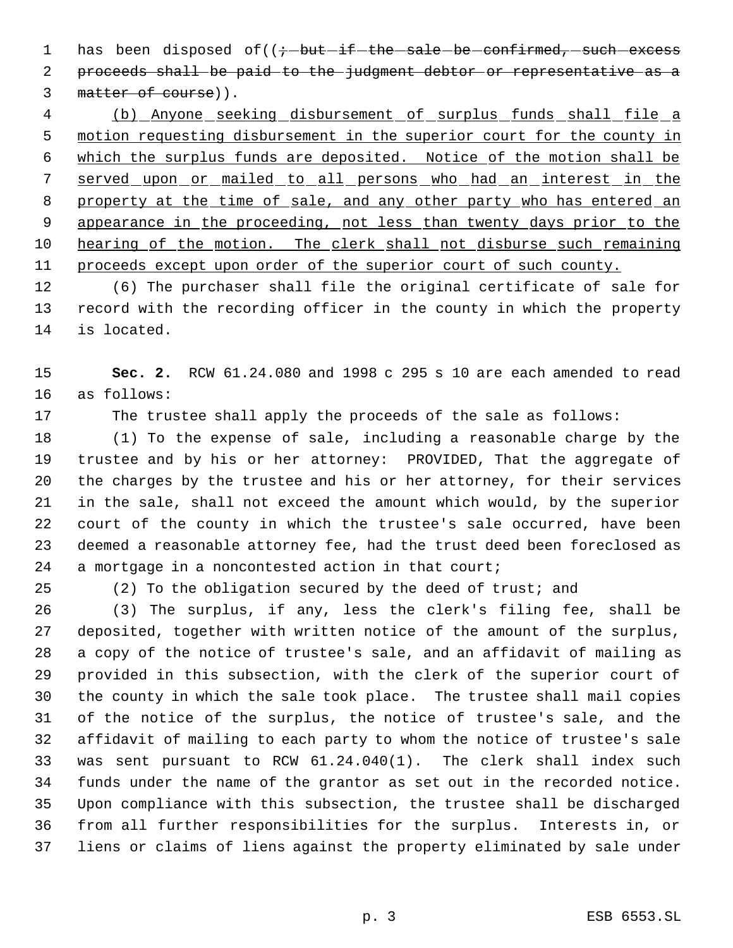1 has been disposed of  $((\div -\text{but}-\text{if}-\text{the}-\text{safe}-\text{be}-\text{conf}+\text{rmed}, -\text{such}-\text{excess})$  proceeds shall be paid to the judgment debtor or representative as a 3 matter of course)).

 (b) Anyone seeking disbursement of surplus funds shall file a motion requesting disbursement in the superior court for the county in which the surplus funds are deposited. Notice of the motion shall be served upon or mailed to all persons who had an interest in the 8 property at the time of sale, and any other party who has entered an appearance in the proceeding, not less than twenty days prior to the hearing of the motion. The clerk shall not disburse such remaining proceeds except upon order of the superior court of such county.

 (6) The purchaser shall file the original certificate of sale for record with the recording officer in the county in which the property is located.

 **Sec. 2.** RCW 61.24.080 and 1998 c 295 s 10 are each amended to read as follows:

The trustee shall apply the proceeds of the sale as follows:

 (1) To the expense of sale, including a reasonable charge by the trustee and by his or her attorney: PROVIDED, That the aggregate of the charges by the trustee and his or her attorney, for their services in the sale, shall not exceed the amount which would, by the superior court of the county in which the trustee's sale occurred, have been deemed a reasonable attorney fee, had the trust deed been foreclosed as a mortgage in a noncontested action in that court;

(2) To the obligation secured by the deed of trust; and

 (3) The surplus, if any, less the clerk's filing fee, shall be deposited, together with written notice of the amount of the surplus, a copy of the notice of trustee's sale, and an affidavit of mailing as provided in this subsection, with the clerk of the superior court of the county in which the sale took place. The trustee shall mail copies of the notice of the surplus, the notice of trustee's sale, and the affidavit of mailing to each party to whom the notice of trustee's sale was sent pursuant to RCW 61.24.040(1). The clerk shall index such funds under the name of the grantor as set out in the recorded notice. Upon compliance with this subsection, the trustee shall be discharged from all further responsibilities for the surplus. Interests in, or liens or claims of liens against the property eliminated by sale under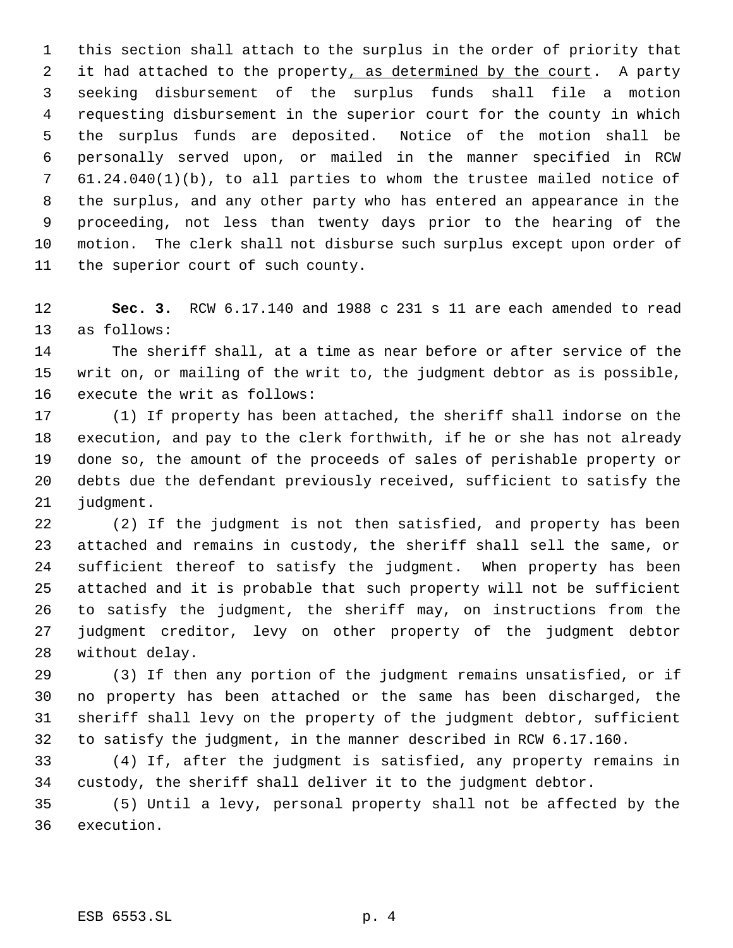this section shall attach to the surplus in the order of priority that 2 it had attached to the property, as determined by the court. A party seeking disbursement of the surplus funds shall file a motion requesting disbursement in the superior court for the county in which the surplus funds are deposited. Notice of the motion shall be personally served upon, or mailed in the manner specified in RCW 61.24.040(1)(b), to all parties to whom the trustee mailed notice of the surplus, and any other party who has entered an appearance in the proceeding, not less than twenty days prior to the hearing of the motion. The clerk shall not disburse such surplus except upon order of the superior court of such county.

 **Sec. 3.** RCW 6.17.140 and 1988 c 231 s 11 are each amended to read as follows:

 The sheriff shall, at a time as near before or after service of the writ on, or mailing of the writ to, the judgment debtor as is possible, execute the writ as follows:

 (1) If property has been attached, the sheriff shall indorse on the execution, and pay to the clerk forthwith, if he or she has not already done so, the amount of the proceeds of sales of perishable property or debts due the defendant previously received, sufficient to satisfy the judgment.

 (2) If the judgment is not then satisfied, and property has been attached and remains in custody, the sheriff shall sell the same, or sufficient thereof to satisfy the judgment. When property has been attached and it is probable that such property will not be sufficient to satisfy the judgment, the sheriff may, on instructions from the judgment creditor, levy on other property of the judgment debtor without delay.

 (3) If then any portion of the judgment remains unsatisfied, or if no property has been attached or the same has been discharged, the sheriff shall levy on the property of the judgment debtor, sufficient to satisfy the judgment, in the manner described in RCW 6.17.160.

 (4) If, after the judgment is satisfied, any property remains in custody, the sheriff shall deliver it to the judgment debtor.

 (5) Until a levy, personal property shall not be affected by the execution.